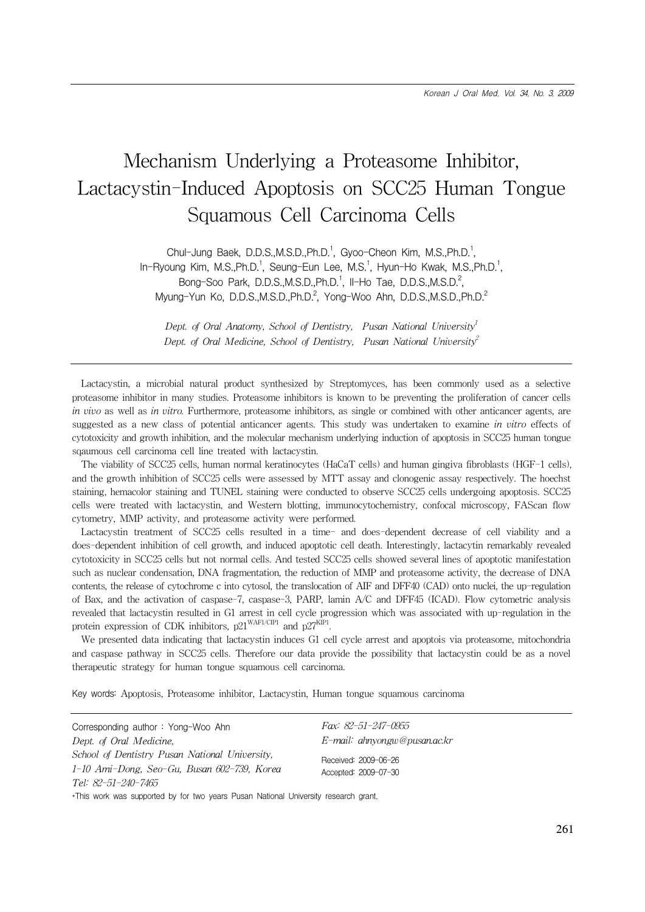# Mechanism Underlying a Proteasome Inhibitor, Lactacystin-Induced Apoptosis on SCC25 Human Tongue Squamous Cell Carcinoma Cells

Chul-Jung Baek, D.D.S.,M.S.D.,Ph.D.<sup>1</sup>, Gyoo-Cheon Kim, M.S.,Ph.D.<sup>1</sup>, In-Ryoung Kim, M.S.,Ph.D.<sup>1</sup>, Seung-Eun Lee, M.S.<sup>1</sup>, Hyun-Ho Kwak, M.S.,Ph.D.<sup>1</sup>, Bong-Soo Park, D.D.S.,M.S.D.,Ph.D.<sup>1</sup>, II-Ho Tae, D.D.S.,M.S.D.<sup>2</sup>, Myung-Yun Ko, D.D.S.,M.S.D.,Ph.D.<sup>2</sup>, Yong-Woo Ahn, D.D.S.,M.S.D.,Ph.D.<sup>2</sup>

Dept. of Oral Anatomy, School of Dentistry, Pusan National University<sup>1</sup> Dept. of Oral Medicine, School of Dentistry, Pusan National University<sup>2</sup>

Lactacystin, a microbial natural product synthesized by Streptomyces, has been commonly used as a selective proteasome inhibitor in many studies. Proteasome inhibitors is known to be preventing the proliferation of cancer cells in vivo as well as in vitro. Furthermore, proteasome inhibitors, as single or combined with other anticancer agents, are suggested as a new class of potential anticancer agents. This study was undertaken to examine in vitro effects of cytotoxicity and growth inhibition, and the molecular mechanism underlying induction of apoptosis in SCC25 human tongue sqaumous cell carcinoma cell line treated with lactacystin.

The viability of SCC25 cells, human normal keratinocytes (HaCaT cells) and human gingiva fibroblasts (HGF-1 cells), and the growth inhibition of SCC25 cells were assessed by MTT assay and clonogenic assay respectively. The hoechst staining, hemacolor staining and TUNEL staining were conducted to observe SCC25 cells undergoing apoptosis. SCC25 cells were treated with lactacystin, and Western blotting, immunocytochemistry, confocal microscopy, FAScan flow cytometry, MMP activity, and proteasome activity were performed.

Lactacystin treatment of SCC25 cells resulted in a time- and does-dependent decrease of cell viability and a does-dependent inhibition of cell growth, and induced apoptotic cell death. Interestingly, lactacytin remarkably revealed cytotoxicity in SCC25 cells but not normal cells. And tested SCC25 cells showed several lines of apoptotic manifestation such as nuclear condensation, DNA fragmentation, the reduction of MMP and proteasome activity, the decrease of DNA contents, the release of cytochrome c into cytosol, the translocation of AIF and DFF40 (CAD) onto nuclei, the up-regulation of Bax, and the activation of caspase-7, caspase-3, PARP, lamin A/C and DFF45 (ICAD). Flow cytometric analysis revealed that lactacystin resulted in G1 arrest in cell cycle progression which was associated with up-regulation in the protein expression of CDK inhibitors,  $p21^{WAF1/CIP1}$  and  $p27^{KIP1}$ .

We presented data indicating that lactacystin induces G1 cell cycle arrest and apoptois via proteasome, mitochondria and caspase pathway in SCC25 cells. Therefore our data provide the possibility that lactacystin could be as a novel therapeutic strategy for human tongue squamous cell carcinoma.

Key words: Apoptosis, Proteasome inhibitor, Lactacystin, Human tongue squamous carcinoma

| Corresponding author: Yong-Woo Ahn                                                                                   | Fax: 82-51-247-0955                          |
|----------------------------------------------------------------------------------------------------------------------|----------------------------------------------|
| Dept. of Oral Medicine.                                                                                              | E-mail: ahnyongw@pusan.ac.kr                 |
| School of Dentistry Pusan National University,<br>1-10 Ami-Dong, Seo-Gu, Busan 602-739, Korea<br>Tel: 82-51-240-7465 | Received: 2009-06-26<br>Accepted: 2009-07-30 |
| *This work was supported by for two years Pusan National University research grant.                                  |                                              |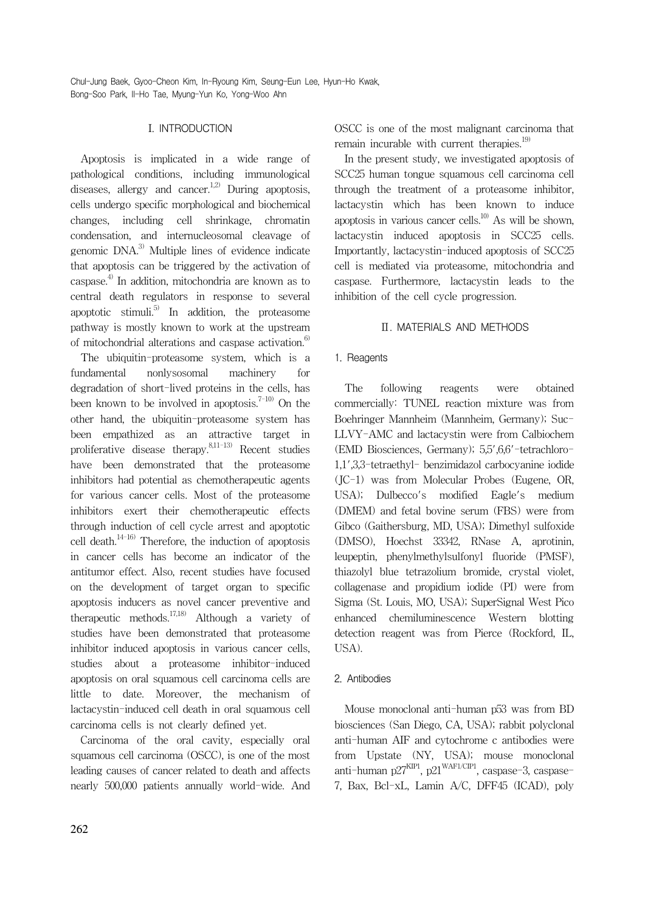## I. INTRODUCTION

Apoptosis is implicated in a wide range of pathological conditions, including immunological diseases, allergy and cancer.<sup>1,2)</sup> During apoptosis, cells undergo specific morphological and biochemical changes, including cell shrinkage, chromatin condensation, and internucleosomal cleavage of genomic DNA.3) Multiple lines of evidence indicate that apoptosis can be triggered by the activation of caspase.<sup>4)</sup> In addition, mitochondria are known as to central death regulators in response to several apoptotic stimuli.<sup>5)</sup> In addition, the proteasome pathway is mostly known to work at the upstream of mitochondrial alterations and caspase activation.<sup>6)</sup>

The ubiquitin-proteasome system, which is a fundamental nonlysosomal machinery for degradation of short-lived proteins in the cells, has been known to be involved in apoptosis.<sup>7-10)</sup> On the other hand, the ubiquitin-proteasome system has been empathized as an attractive target in proliferative disease therapy. $8,11-13$  Recent studies have been demonstrated that the proteasome inhibitors had potential as chemotherapeutic agents for various cancer cells. Most of the proteasome inhibitors exert their chemotherapeutic effects through induction of cell cycle arrest and apoptotic cell death. $14-16$ <sup>2</sup> Therefore, the induction of apoptosis in cancer cells has become an indicator of the antitumor effect. Also, recent studies have focused on the development of target organ to specific apoptosis inducers as novel cancer preventive and therapeutic methods.<sup>17,18)</sup> Although a variety of studies have been demonstrated that proteasome inhibitor induced apoptosis in various cancer cells, studies about a proteasome inhibitor-induced apoptosis on oral squamous cell carcinoma cells are little to date. Moreover, the mechanism of lactacystin-induced cell death in oral squamous cell carcinoma cells is not clearly defined yet.

Carcinoma of the oral cavity, especially oral squamous cell carcinoma (OSCC), is one of the most leading causes of cancer related to death and affects nearly 500,000 patients annually world-wide. And OSCC is one of the most malignant carcinoma that remain incurable with current therapies. $^{19)}$ 

In the present study, we investigated apoptosis of SCC25 human tongue squamous cell carcinoma cell through the treatment of a proteasome inhibitor, lactacystin which has been known to induce apoptosis in various cancer cells. $10$  As will be shown, lactacystin induced apoptosis in SCC25 cells. Importantly, lactacystin-induced apoptosis of SCC25 cell is mediated via proteasome, mitochondria and caspase. Furthermore, lactacystin leads to the inhibition of the cell cycle progression.

## Ⅱ. MATERIALS AND METHODS

## 1. Reagents

The following reagents were obtained commercially: TUNEL reaction mixture was from Boehringer Mannheim (Mannheim, Germany); Suc-LLVY-AMC and lactacystin were from Calbiochem (EMD Biosciences, Germany); 5,5',6,6'-tetrachloro-1,1',3,3-tetraethyl- benzimidazol carbocyanine iodide (JC-1) was from Molecular Probes (Eugene, OR, USA); Dulbecco's modified Eagle's medium (DMEM) and fetal bovine serum (FBS) were from Gibco (Gaithersburg, MD, USA); Dimethyl sulfoxide (DMSO), Hoechst 33342, RNase A, aprotinin, leupeptin, phenylmethylsulfonyl fluoride (PMSF), thiazolyl blue tetrazolium bromide, crystal violet, collagenase and propidium iodide (PI) were from Sigma (St. Louis, MO, USA); SuperSignal West Pico enhanced chemiluminescence Western blotting detection reagent was from Pierce (Rockford, IL, USA).

## 2. Antibodies

Mouse monoclonal anti-human p53 was from BD biosciences (San Diego, CA, USA); rabbit polyclonal anti-human AIF and cytochrome c antibodies were from Upstate (NY, USA); mouse monoclonal anti-human p27KIP1, p21WAF1/CIP1, caspase-3, caspase-7, Bax, Bcl-xL, Lamin A/C, DFF45 (ICAD), poly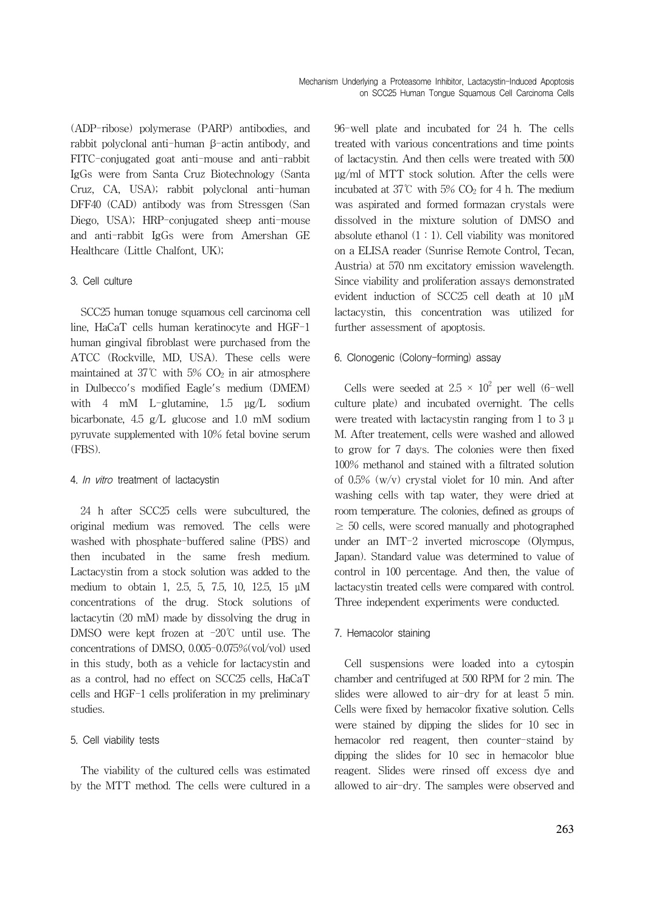(ADP-ribose) polymerase (PARP) antibodies, and rabbit polyclonal anti-human β-actin antibody, and FITC-conjugated goat anti-mouse and anti-rabbit IgGs were from Santa Cruz Biotechnology (Santa Cruz, CA, USA); rabbit polyclonal anti-human DFF40 (CAD) antibody was from Stressgen (San Diego, USA); HRP-conjugated sheep anti-mouse and anti-rabbit IgGs were from Amershan GE Healthcare (Little Chalfont, UK);

#### 3. Cell culture

SCC25 human tonuge squamous cell carcinoma cell line, HaCaT cells human keratinocyte and HGF-1 human gingival fibroblast were purchased from the ATCC (Rockville, MD, USA). These cells were maintained at 37°C with 5%  $CO<sub>2</sub>$  in air atmosphere in Dulbecco's modified Eagle's medium (DMEM) with 4 mM L-glutamine, 1.5 μg/L sodium bicarbonate, 4.5 g/L glucose and 1.0 mM sodium pyruvate supplemented with 10% fetal bovine serum (FBS).

#### 4. In vitro treatment of lactacystin

24 h after SCC25 cells were subcultured, the original medium was removed. The cells were washed with phosphate-buffered saline (PBS) and then incubated in the same fresh medium. Lactacystin from a stock solution was added to the medium to obtain 1, 2.5, 5, 7.5, 10, 12.5, 15 μM concentrations of the drug. Stock solutions of lactacytin (20 mM) made by dissolving the drug in DMSO were kept frozen at -20℃ until use. The concentrations of DMSO, 0.005-0.075%(vol/vol) used in this study, both as a vehicle for lactacystin and as a control, had no effect on SCC25 cells, HaCaT cells and HGF-1 cells proliferation in my preliminary studies.

## 5. Cell viability tests

The viability of the cultured cells was estimated by the MTT method. The cells were cultured in a 96-well plate and incubated for 24 h. The cells treated with various concentrations and time points of lactacystin. And then cells were treated with 500 μg/ml of MTT stock solution. After the cells were incubated at  $37^{\circ}$ C with  $5\%$  CO<sub>2</sub> for 4 h. The medium was aspirated and formed formazan crystals were dissolved in the mixture solution of DMSO and absolute ethanol  $(1 : 1)$ . Cell viability was monitored on a ELISA reader (Sunrise Remote Control, Tecan, Austria) at 570 nm excitatory emission wavelength. Since viability and proliferation assays demonstrated evident induction of SCC25 cell death at 10 μM lactacystin, this concentration was utilized for further assessment of apoptosis.

#### 6. Clonogenic (Colony-forming) assay

Cells were seeded at  $2.5 \times 10^2$  per well (6-well culture plate) and incubated overnight. The cells were treated with lactacystin ranging from 1 to 3 μ M. After treatement, cells were washed and allowed to grow for 7 days. The colonies were then fixed 100% methanol and stained with a filtrated solution of 0.5% (w/v) crystal violet for 10 min. And after washing cells with tap water, they were dried at room temperature. The colonies, defined as groups of  $\geq$  50 cells, were scored manually and photographed under an IMT-2 inverted microscope (Olympus, Japan). Standard value was determined to value of control in 100 percentage. And then, the value of lactacystin treated cells were compared with control. Three independent experiments were conducted.

#### 7. Hemacolor staining

Cell suspensions were loaded into a cytospin chamber and centrifuged at 500 RPM for 2 min. The slides were allowed to air-dry for at least 5 min. Cells were fixed by hemacolor fixative solution. Cells were stained by dipping the slides for 10 sec in hemacolor red reagent, then counter-staind by dipping the slides for 10 sec in hemacolor blue reagent. Slides were rinsed off excess dye and allowed to air-dry. The samples were observed and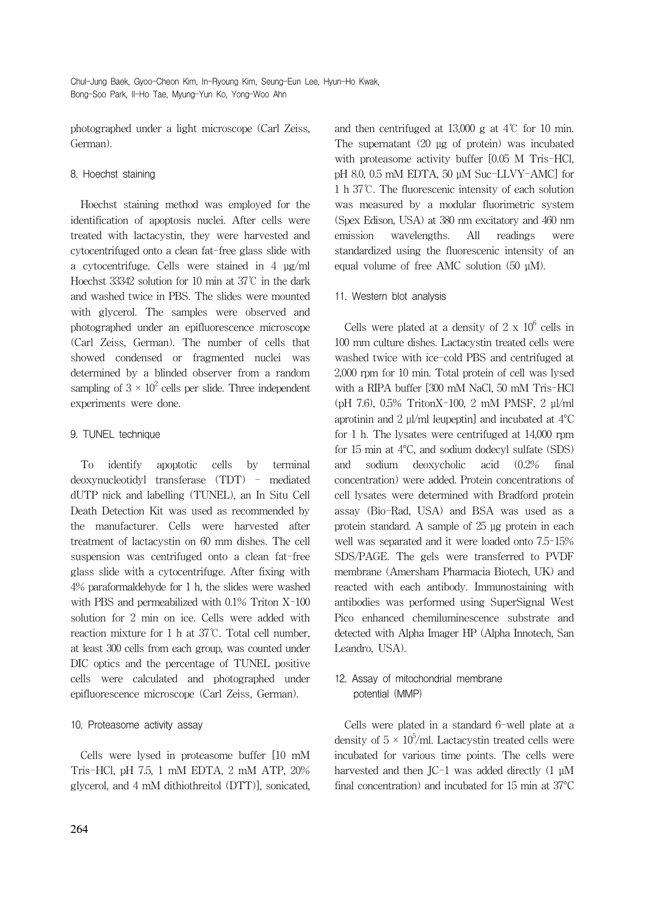photographed under a light microscope (Carl Zeiss, German).

#### 8. Hoechst staining

Hoechst staining method was employed for the identification of apoptosis nuclei. After cells were treated with lactacystin, they were harvested and cytocentrifuged onto a clean fat-free glass slide with a cytocentrifuge. Cells were stained in 4 μg/ml Hoechst 33342 solution for 10 min at 37℃ in the dark and washed twice in PBS. The slides were mounted with glycerol. The samples were observed and photographed under an epifluorescence microscope (Carl Zeiss, German). The number of cells that showed condensed or fragmented nuclei was determined by a blinded observer from a random sampling of  $3 \times 10^2$  cells per slide. Three independent experiments were done.

## 9. TUNEL technique

To identify apoptotic cells by terminal deoxynucleotidyl transferase (TDT) - mediated dUTP nick and labelling (TUNEL), an In Situ Cell Death Detection Kit was used as recommended by the manufacturer. Cells were harvested after treatment of lactacystin on 60 mm dishes. The cell suspension was centrifuged onto a clean fat-free glass slide with a cytocentrifuge. After fixing with 4% paraformaldehyde for 1 h, the slides were washed with PBS and permeabilized with 0.1% Triton X-100 solution for 2 min on ice. Cells were added with reaction mixture for 1 h at 37℃. Total cell number, at least 300 cells from each group, was counted under DIC optics and the percentage of TUNEL positive cells were calculated and photographed under epifluorescence microscope (Carl Zeiss, German).

## 10. Proteasome activity assay

Cells were lysed in proteasome buffer [10 mM Tris-HCl, pH 7.5, 1 mM EDTA, 2 mM ATP, 20% glycerol, and 4 mM dithiothreitol (DTT)], sonicated,

and then centrifuged at 13,000 g at  $4^{\circ}$  for 10 min. The supernatant (20 μg of protein) was incubated with proteasome activity buffer [0.05 M Tris-HCl, pH 8.0, 0.5 mM EDTA, 50 μM Suc-LLVY-AMC] for 1 h 37℃. The fluorescenic intensity of each solution was measured by a modular fluorimetric system (Spex Edison, USA) at 380 nm excitatory and 460 nm emission wavelengths. All readings were standardized using the fluorescenic intensity of an equal volume of free AMC solution (50 μM).

## 11. Western blot analysis

Cells were plated at a density of  $2 \times 10^6$  cells in 100 mm culture dishes. Lactacystin treated cells were washed twice with ice-cold PBS and centrifuged at 2,000 rpm for 10 min. Total protein of cell was lysed with a RIPA buffer [300 mM NaCl, 50 mM Tris-HCl (pH 7.6), 0.5% TritonX-100, 2 mM PMSF, 2 μl/ml aprotinin and 2 μl/ml leupeptin] and incubated at 4°C for 1 h. The lysates were centrifuged at 14,000 rpm for 15 min at 4°C, and sodium dodecyl sulfate (SDS) and sodium deoxycholic acid (0.2% final concentration) were added. Protein concentrations of cell lysates were determined with Bradford protein assay (Bio-Rad, USA) and BSA was used as a protein standard. A sample of 25 μg protein in each well was separated and it were loaded onto 7.5-15% SDS/PAGE. The gels were transferred to PVDF membrane (Amersham Pharmacia Biotech, UK) and reacted with each antibody. Immunostaining with antibodies was performed using SuperSignal West Pico enhanced chemiluminescence substrate and detected with Alpha Imager HP (Alpha Innotech, San Leandro, USA).

## 12. Assay of mitochondrial membrane potential (MMP)

Cells were plated in a standard 6-well plate at a density of  $5 \times 10^5$ /ml. Lactacystin treated cells were incubated for various time points. The cells were harvested and then JC-1 was added directly (1 μM final concentration) and incubated for 15 min at 37°C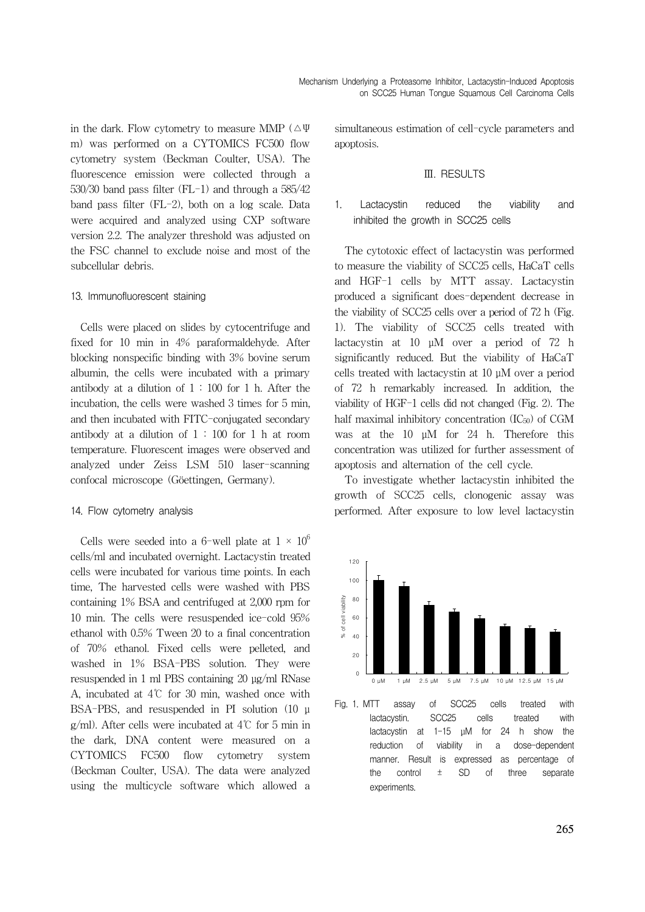in the dark. Flow cytometry to measure MMP ( $\triangle \Psi$ m) was performed on a CYTOMICS FC500 flow cytometry system (Beckman Coulter, USA). The fluorescence emission were collected through a 530/30 band pass filter (FL-1) and through a 585/42 band pass filter (FL-2), both on a log scale. Data were acquired and analyzed using CXP software version 2.2. The analyzer threshold was adjusted on the FSC channel to exclude noise and most of the subcellular debris.

#### 13. Immunofluorescent staining

Cells were placed on slides by cytocentrifuge and fixed for 10 min in 4% paraformaldehyde. After blocking nonspecific binding with 3% bovine serum albumin, the cells were incubated with a primary antibody at a dilution of  $1:100$  for 1 h. After the incubation, the cells were washed 3 times for 5 min, and then incubated with FITC-conjugated secondary antibody at a dilution of  $1:100$  for 1 h at room temperature. Fluorescent images were observed and analyzed under Zeiss LSM 510 laser-scanning confocal microscope (Göettingen, Germany).

#### 14. Flow cytometry analysis

Cells were seeded into a 6-well plate at  $1 \times 10^6$ cells/ml and incubated overnight. Lactacystin treated cells were incubated for various time points. In each time, The harvested cells were washed with PBS containing 1% BSA and centrifuged at 2,000 rpm for 10 min. The cells were resuspended ice-cold 95% ethanol with 0.5% Tween 20 to a final concentration of 70% ethanol. Fixed cells were pelleted, and washed in 1% BSA-PBS solution. They were resuspended in 1 ml PBS containing 20 μg/ml RNase A, incubated at 4℃ for 30 min, washed once with BSA-PBS, and resuspended in PI solution (10 μ g/ml). After cells were incubated at 4℃ for 5 min in the dark, DNA content were measured on a CYTOMICS FC500 flow cytometry system (Beckman Coulter, USA). The data were analyzed using the multicycle software which allowed a

simultaneous estimation of cell-cycle parameters and apoptosis.

#### Ⅲ. RESULTS

### 1. Lactacystin reduced the viability and inhibited the growth in SCC25 cells

The cytotoxic effect of lactacystin was performed to measure the viability of SCC25 cells, HaCaT cells and HGF-1 cells by MTT assay. Lactacystin produced a significant does-dependent decrease in the viability of SCC25 cells over a period of 72 h (Fig. 1). The viability of SCC25 cells treated with lactacystin at 10 μM over a period of 72 h significantly reduced. But the viability of HaCaT cells treated with lactacystin at 10 μM over a period of 72 h remarkably increased. In addition, the viability of HGF-1 cells did not changed (Fig. 2). The half maximal inhibitory concentration  $(IC_{50})$  of CGM was at the 10 μM for 24 h. Therefore this concentration was utilized for further assessment of apoptosis and alternation of the cell cycle.

To investigate whether lactacystin inhibited the growth of SCC25 cells, clonogenic assay was performed. After exposure to low level lactacystin



Fig. 1. MTT assay of SCC25 cells treated with lactacystin. SCC25 cells treated with lactacystin at 1-15 μM for 24 h show the reduction of viability in a dose-dependent manner. Result is expressed as percentage of the control ± SD of three separate experiments.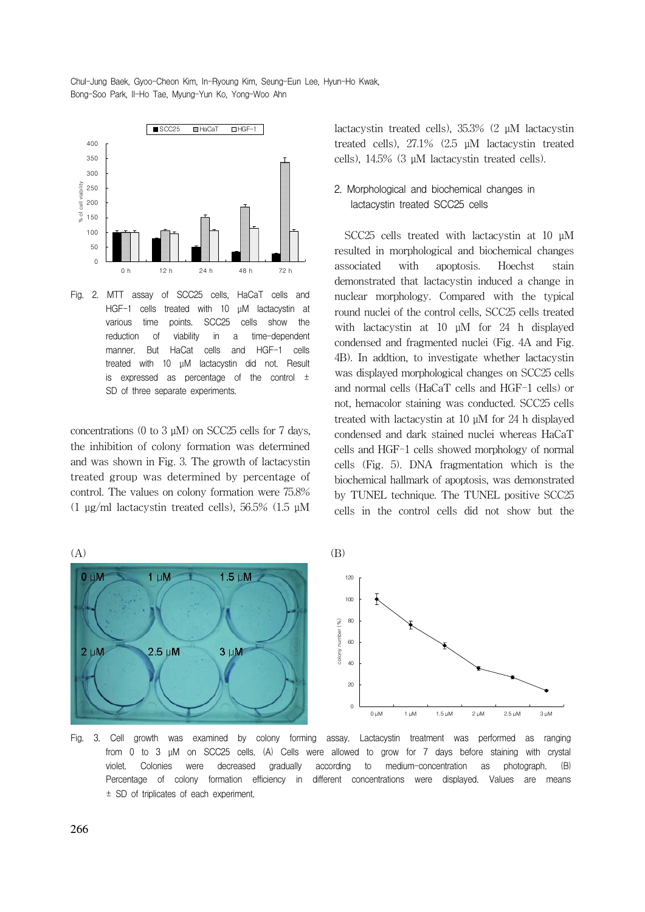

Fig. 2. MTT assay of SCC25 cells, HaCaT cells and HGF-1 cells treated with 10 μM lactacystin at various time points. SCC25 cells show the reduction of viability in a time-dependent manner. But HaCat cells and HGF-1 cells treated with 10 μM lactacystin did not. Result is expressed as percentage of the control  $\pm$ SD of three separate experiments.

concentrations (0 to 3  $\mu$ M) on SCC25 cells for 7 days, the inhibition of colony formation was determined and was shown in Fig. 3. The growth of lactacystin treated group was determined by percentage of control. The values on colony formation were 75.8% (1 μg/ml lactacystin treated cells), 56.5% (1.5 μM

lactacystin treated cells), 35.3% (2 μM lactacystin treated cells), 27.1% (2.5 μM lactacystin treated cells), 14.5% (3 μM lactacystin treated cells).

## 2. Morphological and biochemical changes in lactacystin treated SCC25 cells

SCC<sub>25</sub> cells treated with lactacystin at 10 μM resulted in morphological and biochemical changes associated with apoptosis. Hoechst stain demonstrated that lactacystin induced a change in nuclear morphology. Compared with the typical round nuclei of the control cells, SCC25 cells treated with lactacystin at 10 uM for 24 h displayed condensed and fragmented nuclei (Fig. 4A and Fig. 4B). In addtion, to investigate whether lactacystin was displayed morphological changes on SCC25 cells and normal cells (HaCaT cells and HGF-1 cells) or not, hemacolor staining was conducted. SCC25 cells treated with lactacystin at 10 μM for 24 h displayed condensed and dark stained nuclei whereas HaCaT cells and HGF-1 cells showed morphology of normal cells (Fig. 5). DNA fragmentation which is the biochemical hallmark of apoptosis, was demonstrated by TUNEL technique. The TUNEL positive SCC25 cells in the control cells did not show but the



Fig. 3. Cell growth was examined by colony forming assay. Lactacystin treatment was performed as ranging from 0 to 3 μM on SCC25 cells. (A) Cells were allowed to grow for 7 days before staining with crystal violet. Colonies were decreased gradually according to medium-concentration as photograph. (B) Percentage of colony formation efficiency in different concentrations were displayed. Values are means ± SD of triplicates of each experiment.

266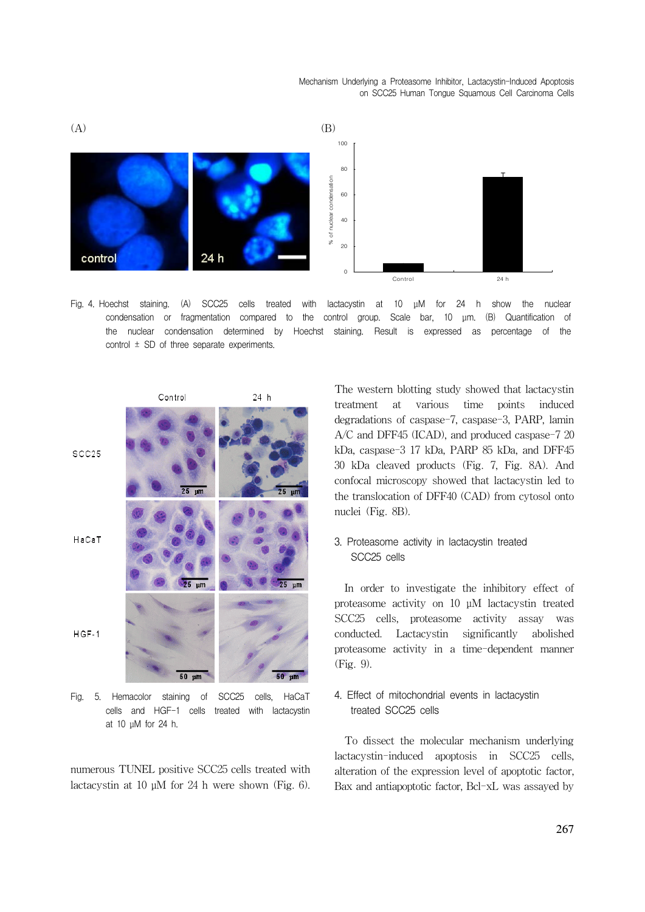Mechanism Underlying a Proteasome Inhibitor, Lactacystin-Induced Apoptosis on SCC25 Human Tongue Squamous Cell Carcinoma Cells



Fig. 4. Hoechst staining. (A) SCC25 cells treated with lactacystin at 10 μM for 24 h show the nuclear condensation or fragmentation compared to the control group. Scale bar, 10 μm. (B) Quantification of the nuclear condensation determined by Hoechst staining. Result is expressed as percentage of the control  $\pm$  SD of three separate experiments.



cells and HGF-1 cells treated with lactacystin at 10 μM for 24 h.

numerous TUNEL positive SCC25 cells treated with lactacystin at 10 μM for 24 h were shown (Fig. 6). The western blotting study showed that lactacystin treatment at various time points induced degradations of caspase-7, caspase-3, PARP, lamin A/C and DFF45 (ICAD), and produced caspase-7 20 kDa, caspase-3 17 kDa, PARP 85 kDa, and DFF45 30 kDa cleaved products (Fig. 7, Fig. 8A). And confocal microscopy showed that lactacystin led to the translocation of DFF40 (CAD) from cytosol onto nuclei (Fig. 8B).

## 3. Proteasome activity in lactacystin treated SCC25 cells

In order to investigate the inhibitory effect of proteasome activity on 10 μM lactacystin treated SCC25 cells, proteasome activity assay was conducted. Lactacystin significantly abolished proteasome activity in a time-dependent manner (Fig. 9).

## 4. Effect of mitochondrial events in lactacystin treated SCC25 cells

To dissect the molecular mechanism underlying lactacystin-induced apoptosis in SCC25 cells, alteration of the expression level of apoptotic factor, Bax and antiapoptotic factor, Bcl-xL was assayed by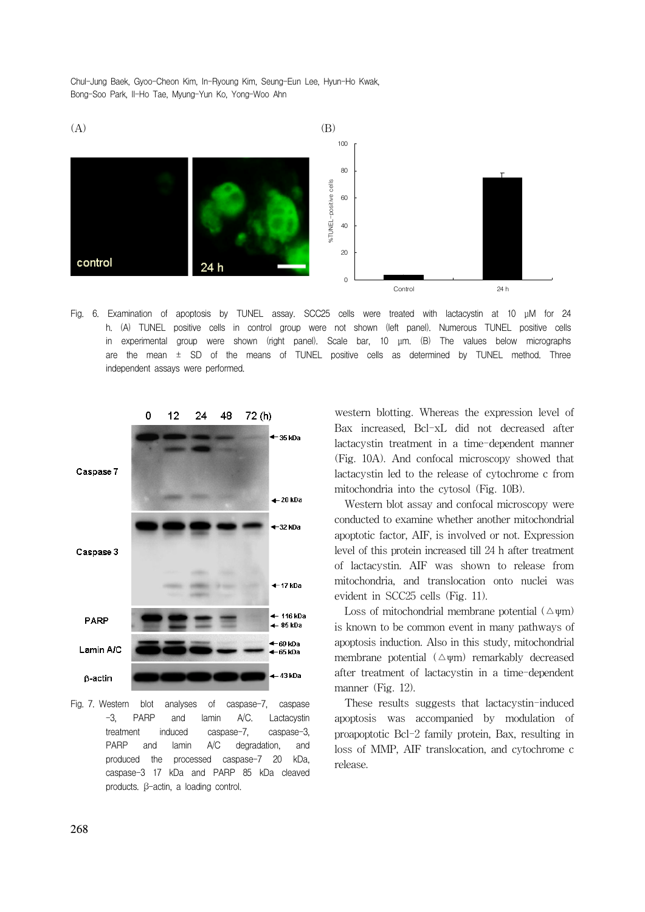

Fig. 6. Examination of apoptosis by TUNEL assay. SCC25 cells were treated with lactacystin at 10 μM for 24 h. (A) TUNEL positive cells in control group were not shown (left panel). Numerous TUNEL positive cells in experimental group were shown (right panel). Scale bar, 10 μm. (B) The values below micrographs are the mean  $\pm$  SD of the means of TUNEL positive cells as determined by TUNEL method. Three independent assays were performed.



Fig. 7. Western blot analyses of caspase-7, caspase -3, PARP and lamin A/C. Lactacystin treatment induced caspase-7, caspase-3, PARP and lamin A/C degradation, and produced the processed caspase-7 20 kDa, caspase-3 17 kDa and PARP 85 kDa cleaved products. β-actin, a loading control.

western blotting. Whereas the expression level of Bax increased, Bcl-xL did not decreased after lactacystin treatment in a time-dependent manner (Fig. 10A). And confocal microscopy showed that lactacystin led to the release of cytochrome c from mitochondria into the cytosol (Fig. 10B).

Western blot assay and confocal microscopy were conducted to examine whether another mitochondrial apoptotic factor, AIF, is involved or not. Expression level of this protein increased till 24 h after treatment of lactacystin. AIF was shown to release from mitochondria, and translocation onto nuclei was evident in SCC25 cells (Fig. 11).

Loss of mitochondrial membrane potential  $(\triangle \psi m)$ is known to be common event in many pathways of apoptosis induction. Also in this study, mitochondrial membrane potential  $(\triangle \psi m)$  remarkably decreased after treatment of lactacystin in a time-dependent manner (Fig. 12).

These results suggests that lactacystin-induced apoptosis was accompanied by modulation of proapoptotic Bcl-2 family protein, Bax, resulting in loss of MMP, AIF translocation, and cytochrome c release.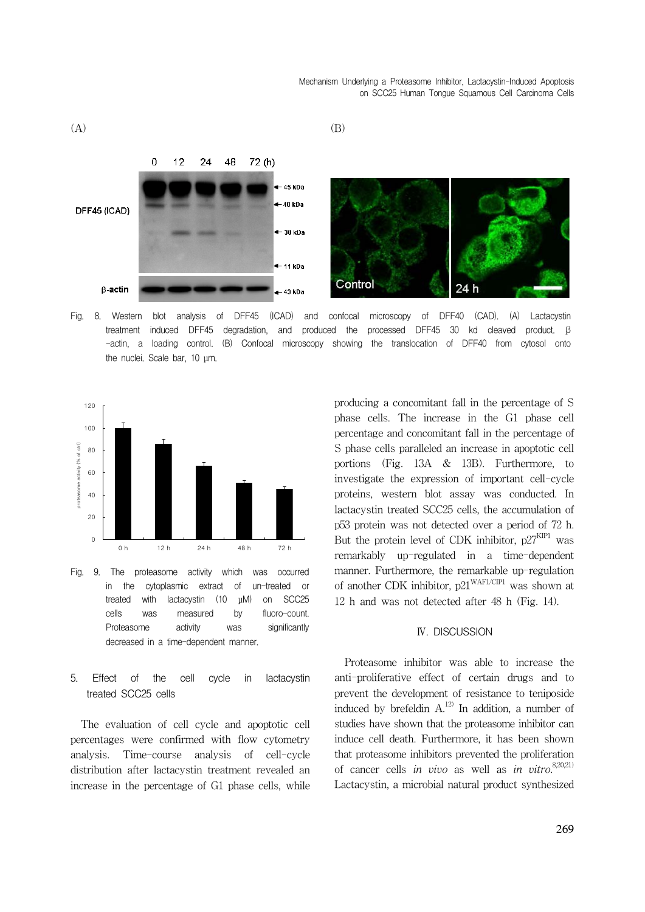Mechanism Underlying a Proteasome Inhibitor, Lactacystin-Induced Apoptosis on SCC25 Human Tongue Squamous Cell Carcinoma Cells



Fig. 8. Western blot analysis of DFF45 (ICAD) and confocal microscopy of DFF40 (CAD). (A) Lactacystin treatment induced DFF45 degradation, and produced the processed DFF45 30 kd cleaved product. β -actin, a loading control. (B) Confocal microscopy showing the translocation of DFF40 from cytosol onto the nuclei. Scale bar, 10 μm.



Fig. 9. The proteasome activity which was occurred in the cytoplasmic extract of un-treated or treated with lactacystin (10 μM) on SCC25 cells was measured by fluoro-count. Proteasome activity was significantly decreased in a time-dependent manner.

5. Effect of the cell cycle in lactacystin treated SCC25 cells

The evaluation of cell cycle and apoptotic cell percentages were confirmed with flow cytometry analysis. Time-course analysis of cell-cycle distribution after lactacystin treatment revealed an increase in the percentage of G1 phase cells, while producing a concomitant fall in the percentage of S phase cells. The increase in the G1 phase cell percentage and concomitant fall in the percentage of S phase cells paralleled an increase in apoptotic cell portions (Fig. 13A & 13B). Furthermore, to investigate the expression of important cell-cycle proteins, western blot assay was conducted. In lactacystin treated SCC25 cells, the accumulation of p53 protein was not detected over a period of 72 h. But the protein level of CDK inhibitor,  $p27<sup>KIP1</sup>$  was remarkably up-regulated in a time-dependent manner. Furthermore, the remarkable up-regulation of another CDK inhibitor,  $p21^{WAF1/CP1}$  was shown at 12 h and was not detected after 48 h (Fig. 14).

#### Ⅳ. DISCUSSION

Proteasome inhibitor was able to increase the anti-proliferative effect of certain drugs and to prevent the development of resistance to teniposide induced by brefeldin  $A<sup>12</sup>$  In addition, a number of studies have shown that the proteasome inhibitor can induce cell death. Furthermore, it has been shown that proteasome inhibitors prevented the proliferation of cancer cells in vivo as well as in vitro.<sup>8,20,21)</sup> Lactacystin, a microbial natural product synthesized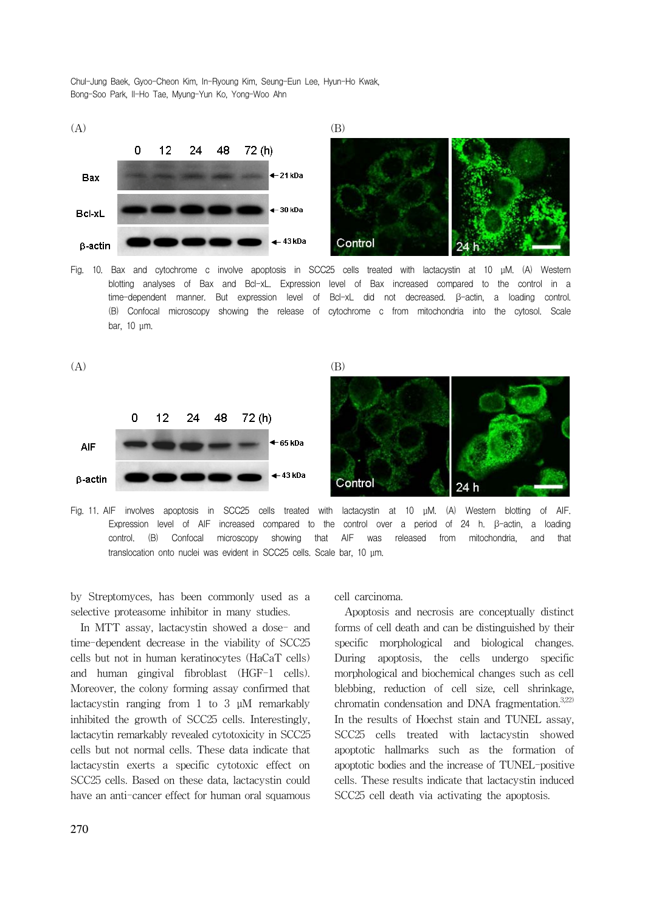

Fig. 10. Bax and cytochrome c involve apoptosis in SCC25 cells treated with lactacystin at 10 μM. (A) Western blotting analyses of Bax and Bcl-xL. Expression level of Bax increased compared to the control in a time-dependent manner. But expression level of Bcl-xL did not decreased. β-actin, a loading control. (B) Confocal microscopy showing the release of cytochrome c from mitochondria into the cytosol. Scale bar, 10 μm.



Fig. 11. AIF involves apoptosis in SCC25 cells treated with lactacystin at 10 μM. (A) Western blotting of AIF. Expression level of AIF increased compared to the control over a period of 24 h. β-actin, a loading control. (B) Confocal microscopy showing that AIF was released from mitochondria, and that translocation onto nuclei was evident in SCC25 cells. Scale bar, 10 μm.

by Streptomyces, has been commonly used as a selective proteasome inhibitor in many studies.

In MTT assay, lactacystin showed a dose- and time-dependent decrease in the viability of SCC25 cells but not in human keratinocytes (HaCaT cells) and human gingival fibroblast (HGF-1 cells). Moreover, the colony forming assay confirmed that lactacystin ranging from 1 to 3 μM remarkably inhibited the growth of SCC25 cells. Interestingly, lactacytin remarkably revealed cytotoxicity in SCC25 cells but not normal cells. These data indicate that lactacystin exerts a specific cytotoxic effect on SCC25 cells. Based on these data, lactacystin could have an anti-cancer effect for human oral squamous cell carcinoma.

Apoptosis and necrosis are conceptually distinct forms of cell death and can be distinguished by their specific morphological and biological changes. During apoptosis, the cells undergo specific morphological and biochemical changes such as cell blebbing, reduction of cell size, cell shrinkage, chromatin condensation and DNA fragmentation. $3,222$ In the results of Hoechst stain and TUNEL assay, SCC25 cells treated with lactacystin showed apoptotic hallmarks such as the formation of apoptotic bodies and the increase of TUNEL-positive cells. These results indicate that lactacystin induced SCC25 cell death via activating the apoptosis.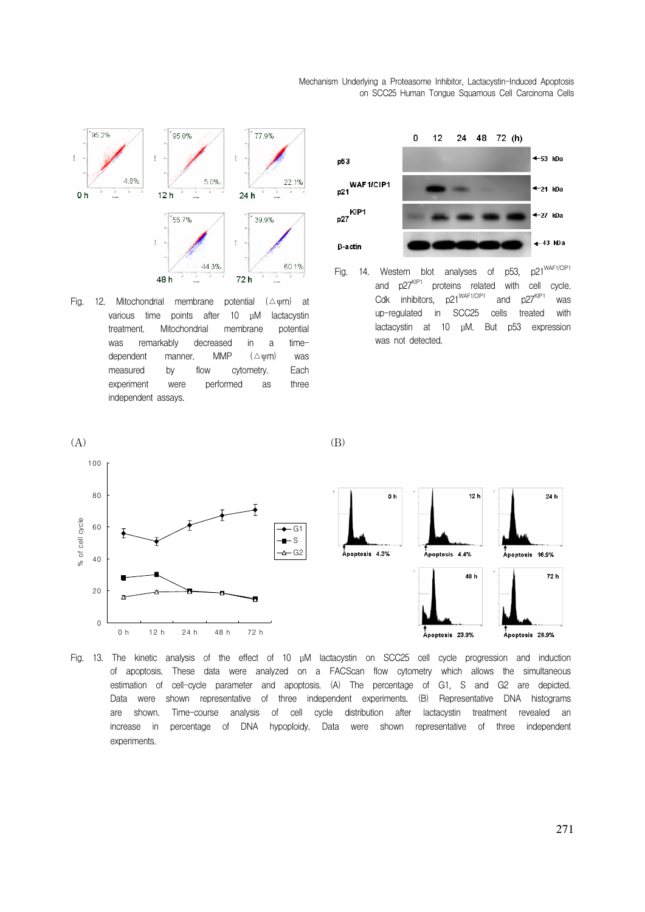Mechanism Underlying a Proteasome Inhibitor, Lactacystin-Induced Apoptosis on SCC25 Human Tongue Squamous Cell Carcinoma Cells

48%  $5.0%$ 22.1%  $0<sub>h</sub>$  $12h$ l  $24<sub>h</sub>$ 55.7% 39.9% 44.3% 60.1% 48h 72h Fig. 12. Mitochondrial membrane potential  $(\triangle \psi m)$  at various time points after 10 μM lactacystin

95.0%

77.9%

95.2%

 $\frac{3}{4}$ 

treatment. Mitochondrial membrane potential was remarkably decreased in a timedependent manner. MMP (Δψm) was measured by flow cytometry. Each experiment were performed as three independent assays.



Fig. 14. Western blot analyses of p53, p21<sup>WAF1/CIP1</sup> and  $p27^{KIP1}$  proteins related with cell cycle.<br>Cdk inhibitors,  $p21^{WAF1/CIP1}$  and  $p27^{KIP1}$  was Cdk inhibitors,  $p21^{WAF1/CIP1}$  and  $p27^{KIP1}$  was up-regulated in SCC25 cells treated with lactacystin at 10 μM. But p53 expression was not detected.





Fig. 13. The kinetic analysis of the effect of 10 μM lactacystin on SCC25 cell cycle progression and induction of apoptosis. These data were analyzed on a FACScan flow cytometry which allows the simultaneous estimation of cell-cycle parameter and apoptosis. (A) The percentage of G1, S and G2 are depicted. Data were shown representative of three independent experiments. (B) Representative DNA histograms are shown. Time-course analysis of cell cycle distribution after lactacystin treatment revealed an increase in percentage of DNA hypoploidy. Data were shown representative of three independent experiments.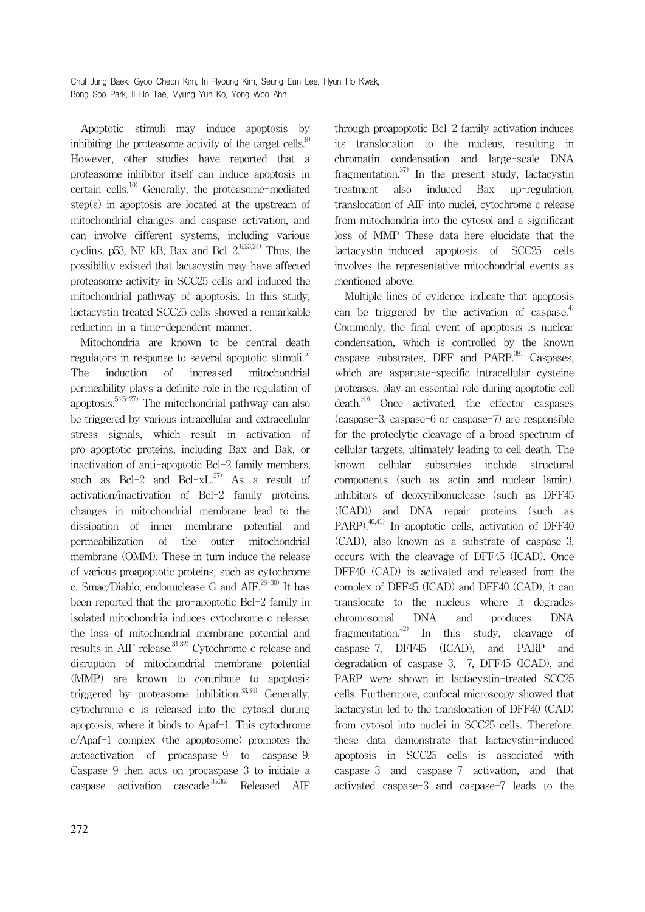Apoptotic stimuli may induce apoptosis by inhibiting the proteasome activity of the target cells. $9$ However, other studies have reported that a proteasome inhibitor itself can induce apoptosis in certain cells.<sup>10)</sup> Generally, the proteasome-mediated step(s) in apoptosis are located at the upstream of mitochondrial changes and caspase activation, and can involve different systems, including various cyclins, p53, NF-kB, Bax and Bcl- $2^{6,23,24)}$  Thus, the possibility existed that lactacystin may have affected proteasome activity in SCC25 cells and induced the mitochondrial pathway of apoptosis. In this study, lactacystin treated SCC25 cells showed a remarkable reduction in a time-dependent manner.

Mitochondria are known to be central death regulators in response to several apoptotic stimuli.<sup>5)</sup> The induction of increased mitochondrial permeability plays a definite role in the regulation of apoptosis.<sup>5,25-27)</sup> The mitochondrial pathway can also be triggered by various intracellular and extracellular stress signals, which result in activation of pro-apoptotic proteins, including Bax and Bak, or inactivation of anti-apoptotic Bcl-2 family members, such as Bcl-2 and Bcl- $xL^{27}$  As a result of activation/inactivation of Bcl-2 family proteins, changes in mitochondrial membrane lead to the dissipation of inner membrane potential and permeabilization of the outer mitochondrial membrane (OMM). These in turn induce the release of various proapoptotic proteins, such as cytochrome c, Smac/Diablo, endonuclease G and  $\text{AIF.}^{28-30}$  It has been reported that the pro-apoptotic Bcl-2 family in isolated mitochondria induces cytochrome c release, the loss of mitochondrial membrane potential and results in AIF release.<sup>31,32)</sup> Cytochrome c release and disruption of mitochondrial membrane potential (MMP) are known to contribute to apoptosis triggered by proteasome inhibition.<sup>33,34)</sup> Generally, cytochrome c is released into the cytosol during apoptosis, where it binds to Apaf-1. This cytochrome c/Apaf-1 complex (the apoptosome) promotes the autoactivation of procaspase-9 to caspase-9. Caspase-9 then acts on procaspase-3 to initiate a caspase activation cascade. $35,36$  Released AIF

through proapoptotic Bcl-2 family activation induces its translocation to the nucleus, resulting in chromatin condensation and large-scale DNA fragmentation.<sup>37)</sup> In the present study, lactacystin treatment also induced Bax up-regulation, translocation of AIF into nuclei, cytochrome c release from mitochondria into the cytosol and a significant loss of MMP These data here elucidate that the lactacystin-induced apoptosis of SCC25 cells involves the representative mitochondrial events as mentioned above.

Multiple lines of evidence indicate that apoptosis can be triggered by the activation of caspase.<sup>4)</sup> Commonly, the final event of apoptosis is nuclear condensation, which is controlled by the known caspase substrates, DFF and PARP.<sup>38)</sup> Caspases, which are aspartate-specific intracellular cysteine proteases, play an essential role during apoptotic cell death. $39$  Once activated, the effector caspases (caspase-3, caspase-6 or caspase-7) are responsible for the proteolytic cleavage of a broad spectrum of cellular targets, ultimately leading to cell death. The known cellular substrates include structural components (such as actin and nuclear lamin), inhibitors of deoxyribonuclease (such as DFF45 (ICAD)) and DNA repair proteins (such as PARP).<sup>40,41)</sup> In apoptotic cells, activation of DFF40 (CAD), also known as a substrate of caspase-3, occurs with the cleavage of DFF45 (ICAD). Once DFF40 (CAD) is activated and released from the complex of DFF45 (ICAD) and DFF40 (CAD), it can translocate to the nucleus where it degrades chromosomal DNA and produces DNA fragmentation.<sup>42)</sup> In this study, cleavage of caspase-7, DFF45 (ICAD), and PARP and degradation of caspase-3, -7, DFF45 (ICAD), and PARP were shown in lactacystin-treated SCC25 cells. Furthermore, confocal microscopy showed that lactacystin led to the translocation of DFF40 (CAD) from cytosol into nuclei in SCC25 cells. Therefore, these data demonstrate that lactacystin-induced apoptosis in SCC25 cells is associated with caspase-3 and caspase-7 activation, and that activated caspase-3 and caspase-7 leads to the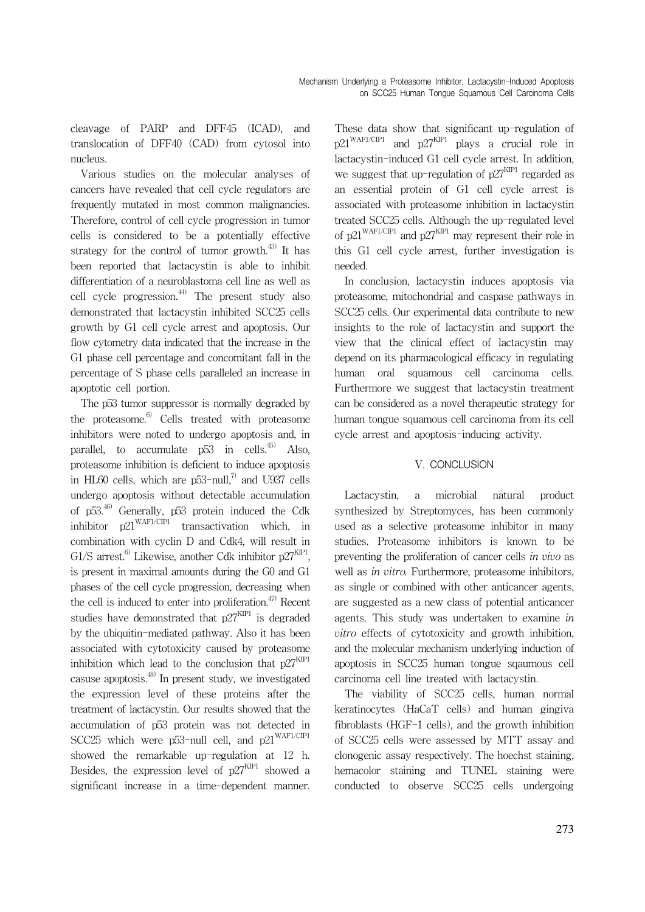cleavage of PARP and DFF45 (ICAD), and translocation of DFF40 (CAD) from cytosol into nucleus.

Various studies on the molecular analyses of cancers have revealed that cell cycle regulators are frequently mutated in most common malignancies. Therefore, control of cell cycle progression in tumor cells is considered to be a potentially effective strategy for the control of tumor growth.<sup>43)</sup> It has been reported that lactacystin is able to inhibit differentiation of a neuroblastoma cell line as well as cell cycle progression. $44$  The present study also demonstrated that lactacystin inhibited SCC25 cells growth by G1 cell cycle arrest and apoptosis. Our flow cytometry data indicated that the increase in the G1 phase cell percentage and concomitant fall in the percentage of S phase cells paralleled an increase in apoptotic cell portion.

The p53 tumor suppressor is normally degraded by the proteasome. $6$  Cells treated with proteasome inhibitors were noted to undergo apoptosis and, in parallel, to accumulate  $p53$  in cells.<sup>45)</sup> Also, proteasome inhibition is deficient to induce apoptosis in HL60 cells, which are  $p53$ -null,<sup>7)</sup> and U937 cells undergo apoptosis without detectable accumulation of p53.46) Generally, p53 protein induced the Cdk inhibitor  $p21^{WAF1/CIP1}$  transactivation which, in combination with cyclin D and Cdk4, will result in G1/S arrest.<sup>6)</sup> Likewise, another Cdk inhibitor  $p27<sup>KIP1</sup>$ , is present in maximal amounts during the G0 and G1 phases of the cell cycle progression, decreasing when the cell is induced to enter into proliferation.<sup> $47)$ </sup> Recent studies have demonstrated that  $p27^{KIP1}$  is degraded by the ubiquitin-mediated pathway. Also it has been associated with cytotoxicity caused by proteasome inhibition which lead to the conclusion that  $p27<sup>KIP1</sup>$ casuse apoptosis. $48$  In present study, we investigated the expression level of these proteins after the treatment of lactacystin. Our results showed that the accumulation of p53 protein was not detected in SCC25 which were p53-null cell, and  $p21^{WAF1/CIP1}$ showed the remarkable up-regulation at 12 h. Besides, the expression level of  $p27<sup>KIP1</sup>$  showed a significant increase in a time-dependent manner.

These data show that significant up-regulation of  $p21^{WAF1/CIP1}$  and  $p27^{KIP1}$  plays a crucial role in lactacystin-induced G1 cell cycle arrest. In addition, we suggest that up-regulation of  $p27<sup>KIP1</sup>$  regarded as an essential protein of G1 cell cycle arrest is associated with proteasome inhibition in lactacystin treated SCC25 cells. Although the up-regulated level of p21<sup>WAF1/CIP1</sup> and p27<sup>KIP1</sup> may represent their role in this G1 cell cycle arrest, further investigation is needed.

In conclusion, lactacystin induces apoptosis via proteasome, mitochondrial and caspase pathways in SCC25 cells. Our experimental data contribute to new insights to the role of lactacystin and support the view that the clinical effect of lactacystin may depend on its pharmacological efficacy in regulating human oral squamous cell carcinoma cells. Furthermore we suggest that lactacystin treatment can be considered as a novel therapeutic strategy for human tongue squamous cell carcinoma from its cell cycle arrest and apoptosis-inducing activity.

## V. CONCLUSION

Lactacystin, a microbial natural product synthesized by Streptomyces, has been commonly used as a selective proteasome inhibitor in many studies. Proteasome inhibitors is known to be preventing the proliferation of cancer cells in vivo as well as in vitro. Furthermore, proteasome inhibitors, as single or combined with other anticancer agents, are suggested as a new class of potential anticancer agents. This study was undertaken to examine in vitro effects of cytotoxicity and growth inhibition, and the molecular mechanism underlying induction of apoptosis in SCC25 human tongue sqaumous cell carcinoma cell line treated with lactacystin.

The viability of SCC25 cells, human normal keratinocytes (HaCaT cells) and human gingiva fibroblasts (HGF-1 cells), and the growth inhibition of SCC25 cells were assessed by MTT assay and clonogenic assay respectively. The hoechst staining, hemacolor staining and TUNEL staining were conducted to observe SCC25 cells undergoing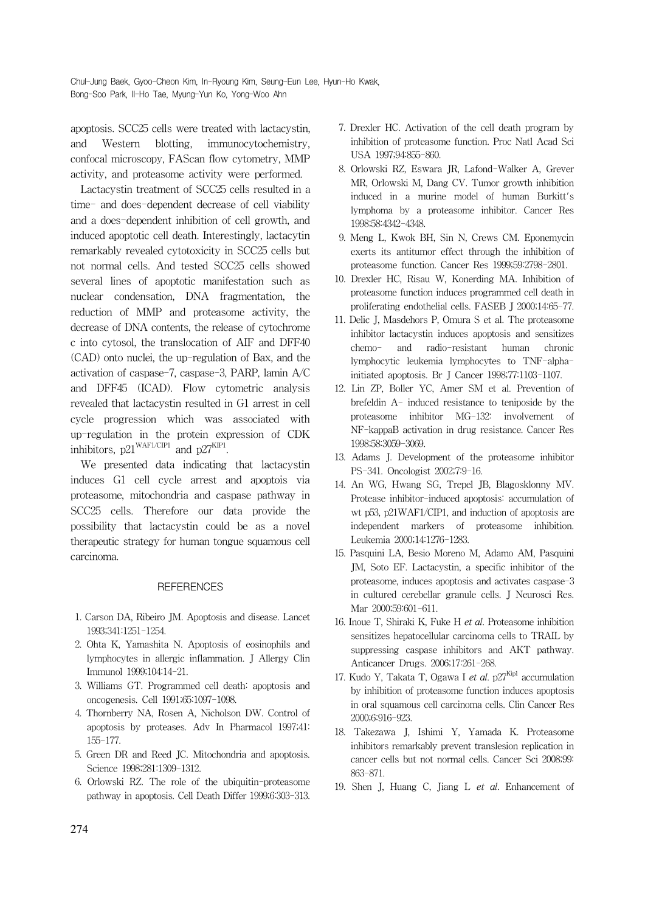apoptosis. SCC25 cells were treated with lactacystin, and Western blotting, immunocytochemistry, confocal microscopy, FAScan flow cytometry, MMP activity, and proteasome activity were performed.

Lactacystin treatment of SCC25 cells resulted in a time- and does-dependent decrease of cell viability and a does-dependent inhibition of cell growth, and induced apoptotic cell death. Interestingly, lactacytin remarkably revealed cytotoxicity in SCC25 cells but not normal cells. And tested SCC25 cells showed several lines of apoptotic manifestation such as nuclear condensation, DNA fragmentation, the reduction of MMP and proteasome activity, the decrease of DNA contents, the release of cytochrome c into cytosol, the translocation of AIF and DFF40 (CAD) onto nuclei, the up-regulation of Bax, and the activation of caspase-7, caspase-3, PARP, lamin A/C and DFF45 (ICAD). Flow cytometric analysis revealed that lactacystin resulted in G1 arrest in cell cycle progression which was associated with up-regulation in the protein expression of CDK inhibitors,  $p21^{WAF1/CIP1}$  and  $p27^{KIP1}$ .

We presented data indicating that lactacystin induces G1 cell cycle arrest and apoptois via proteasome, mitochondria and caspase pathway in SCC25 cells. Therefore our data provide the possibility that lactacystin could be as a novel therapeutic strategy for human tongue squamous cell carcinoma.

#### **REFERENCES**

- 1. Carson DA, Ribeiro JM. Apoptosis and disease. Lancet 1993;341:1251-1254.
- 2. Ohta K, Yamashita N. Apoptosis of eosinophils and lymphocytes in allergic inflammation. J Allergy Clin Immunol 1999;104:14-21.
- 3. Williams GT. Programmed cell death: apoptosis and oncogenesis. Cell 1991;65:1097-1098.
- 4. Thornberry NA, Rosen A, Nicholson DW. Control of apoptosis by proteases. Adv In Pharmacol 1997;41: 155-177.
- 5. Green DR and Reed JC. Mitochondria and apoptosis. Science 1998;281:1309-1312.
- 6. Orlowski RZ. The role of the ubiquitin-proteasome pathway in apoptosis. Cell Death Differ 1999;6:303-313.
- 7. Drexler HC. Activation of the cell death program by inhibition of proteasome function. Proc Natl Acad Sci USA 1997;94:855-860.
- 8. Orlowski RZ, Eswara JR, Lafond-Walker A, Grever MR, Orlowski M, Dang CV. Tumor growth inhibition induced in a murine model of human Burkitt's lymphoma by a proteasome inhibitor. Cancer Res 1998;58:4342-4348.
- 9. Meng L, Kwok BH, Sin N, Crews CM. Eponemycin exerts its antitumor effect through the inhibition of proteasome function. Cancer Res 1999;59:2798-2801.
- 10. Drexler HC, Risau W, Konerding MA. Inhibition of proteasome function induces programmed cell death in proliferating endothelial cells. FASEB J 2000;14:65-77.
- 11. Delic J, Masdehors P, Omura S et al. The proteasome inhibitor lactacystin induces apoptosis and sensitizes chemo- and radio-resistant human chronic lymphocytic leukemia lymphocytes to TNF-alphainitiated apoptosis. Br J Cancer 1998;77:1103-1107.
- 12. Lin ZP, Boller YC, Amer SM et al. Prevention of brefeldin A- induced resistance to teniposide by the proteasome inhibitor MG-132: involvement of NF-kappaB activation in drug resistance. Cancer Res 1998;58:3059-3069.
- 13. Adams J. Development of the proteasome inhibitor PS-341. Oncologist 2002;7:9-16.
- 14. An WG, Hwang SG, Trepel JB, Blagosklonny MV. Protease inhibitor-induced apoptosis: accumulation of wt p53, p21WAF1/CIP1, and induction of apoptosis are independent markers of proteasome inhibition. Leukemia 2000;14:1276-1283.
- 15. Pasquini LA, Besio Moreno M, Adamo AM, Pasquini JM, Soto EF. Lactacystin, a specific inhibitor of the proteasome, induces apoptosis and activates caspase-3 in cultured cerebellar granule cells. J Neurosci Res. Mar 2000;59:601-611.
- 16. Inoue T, Shiraki K, Fuke H et al. Proteasome inhibition sensitizes hepatocellular carcinoma cells to TRAIL by suppressing caspase inhibitors and AKT pathway. Anticancer Drugs. 2006;17:261-268.
- 17. Kudo Y, Takata T, Ogawa I et al.  $p27^{Kipl}$  accumulation by inhibition of proteasome function induces apoptosis in oral squamous cell carcinoma cells. Clin Cancer Res 2000;6:916-923.
- 18. Takezawa J, Ishimi Y, Yamada K. Proteasome inhibitors remarkably prevent translesion replication in cancer cells but not normal cells. Cancer Sci 2008;99: 863-871.
- 19. Shen J, Huang C, Jiang L et al. Enhancement of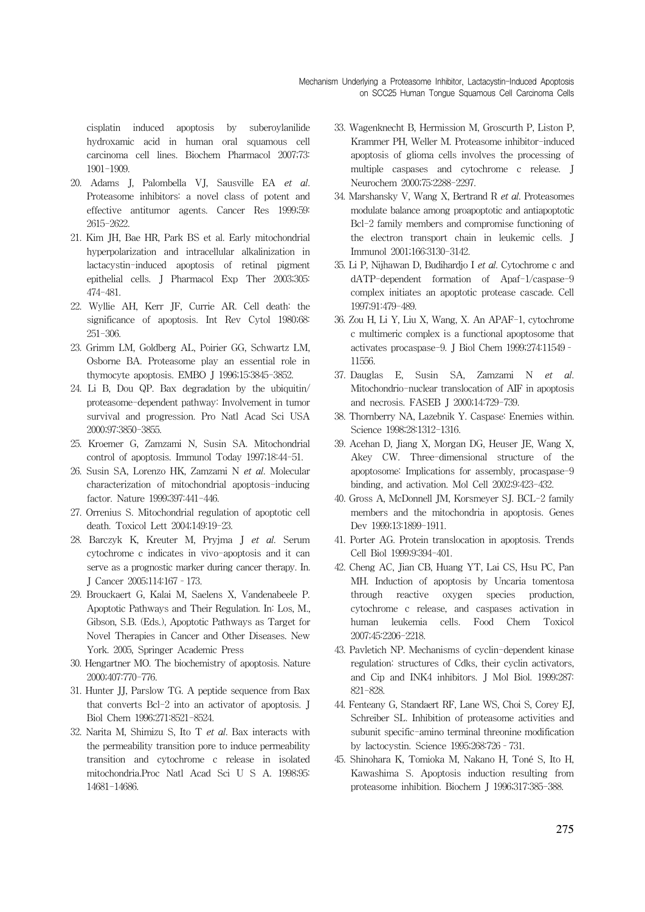cisplatin induced apoptosis by suberoylanilide hydroxamic acid in human oral squamous cell carcinoma cell lines. Biochem Pharmacol 2007;73: 1901-1909.

- 20. Adams J, Palombella VJ, Sausville EA et al. Proteasome inhibitors: a novel class of potent and effective antitumor agents. Cancer Res 1999;59: 2615-2622.
- 21. Kim JH, Bae HR, Park BS et al. Early mitochondrial hyperpolarization and intracellular alkalinization in lactacystin-induced apoptosis of retinal pigment epithelial cells. J Pharmacol Exp Ther 2003;305: 474-481.
- 22. Wyllie AH, Kerr JF, Currie AR. Cell death: the significance of apoptosis. Int Rev Cytol 1980;68: 251-306.
- 23. Grimm LM, Goldberg AL, Poirier GG, Schwartz LM, Osborne BA. Proteasome play an essential role in thymocyte apoptosis. EMBO J 1996;15:3845-3852.
- 24. Li B, Dou QP. Bax degradation by the ubiquitin/ proteasome-dependent pathway: Involvement in tumor survival and progression. Pro Natl Acad Sci USA 2000;97:3850-3855.
- 25. Kroemer G, Zamzami N, Susin SA. Mitochondrial control of apoptosis. Immunol Today 1997;18:44-51.
- 26. Susin SA, Lorenzo HK, Zamzami N et al. Molecular characterization of mitochondrial apoptosis-inducing factor. Nature 1999;397:441-446.
- 27. Orrenius S. Mitochondrial regulation of apoptotic cell death. Toxicol Lett 2004;149:19-23.
- 28. Barczyk K, Kreuter M, Pryjma J et al. Serum cytochrome c indicates in vivo-apoptosis and it can serve as a prognostic marker during cancer therapy. In. J Cancer 2005;114:167–173.
- 29. Brouckaert G, Kalai M, Saelens X, Vandenabeele P. Apoptotic Pathways and Their Regulation. In: Los, M., Gibson, S.B. (Eds.), Apoptotic Pathways as Target for Novel Therapies in Cancer and Other Diseases. New York. 2005, Springer Academic Press
- 30. Hengartner MO. The biochemistry of apoptosis. Nature 2000;407:770-776.
- 31. Hunter JJ, Parslow TG. A peptide sequence from Bax that converts Bcl-2 into an activator of apoptosis. J Biol Chem 1996;271:8521-8524.
- 32. Narita M, Shimizu S, Ito T et al. Bax interacts with the permeability transition pore to induce permeability transition and cytochrome c release in isolated mitochondria.Proc Natl Acad Sci U S A. 1998;95: 14681-14686.
- 33. Wagenknecht B, Hermission M, Groscurth P, Liston P, Krammer PH, Weller M. Proteasome inhibitor-induced apoptosis of glioma cells involves the processing of multiple caspases and cytochrome c release. J Neurochem 2000;75:2288-2297.
- 34. Marshansky V, Wang X, Bertrand R et al. Proteasomes modulate balance among proapoptotic and antiapoptotic Bcl-2 family members and compromise functioning of the electron transport chain in leukemic cells. J Immunol 2001;166:3130-3142.
- 35. Li P, Nijhawan D, Budihardjo I et al. Cytochrome c and dATP-dependent formation of Apaf-1/caspase-9 complex initiates an apoptotic protease cascade. Cell 1997;91:479-489.
- 36. Zou H, Li Y, Liu X, Wang, X. An APAF-1, cytochrome c multimeric complex is a functional apoptosome that activates procaspase-9. J Biol Chem 1999;274:11549– 11556.
- 37. Dauglas E, Susin SA, Zamzami N et al. Mitochondrio-nuclear translocation of AIF in apoptosis and necrosis. FASEB J 2000;14:729-739.
- 38. Thornberry NA, Lazebnik Y. Caspase: Enemies within. Science 1998;28:1312-1316.
- 39. Acehan D, Jiang X, Morgan DG, Heuser JE, Wang X, Akey CW. Three-dimensional structure of the apoptosome: Implications for assembly, procaspase-9 binding, and activation. Mol Cell 2002;9:423-432.
- 40. Gross A, McDonnell JM, Korsmeyer SJ. BCL-2 family members and the mitochondria in apoptosis. Genes Dev 1999;13:1899-1911.
- 41. Porter AG. Protein translocation in apoptosis. Trends Cell Biol 1999;9:394-401.
- 42. Cheng AC, Jian CB, Huang YT, Lai CS, Hsu PC, Pan MH. Induction of apoptosis by Uncaria tomentosa through reactive oxygen species production, cytochrome c release, and caspases activation in human leukemia cells. Food Chem Toxicol 2007;45:2206-2218.
- 43. Pavletich NP. Mechanisms of cyclin-dependent kinase regulation: structures of Cdks, their cyclin activators, and Cip and INK4 inhibitors. J Mol Biol. 1999;287: 821-828.
- 44. Fenteany G, Standaert RF, Lane WS, Choi S, Corey EJ, Schreiber SL. Inhibition of proteasome activities and subunit specific-amino terminal threonine modification by lactocystin. Science 1995;268:726–731.
- 45. Shinohara K, Tomioka M, Nakano H, Toné S, Ito H, Kawashima S. Apoptosis induction resulting from proteasome inhibition. Biochem J 1996;317:385-388.